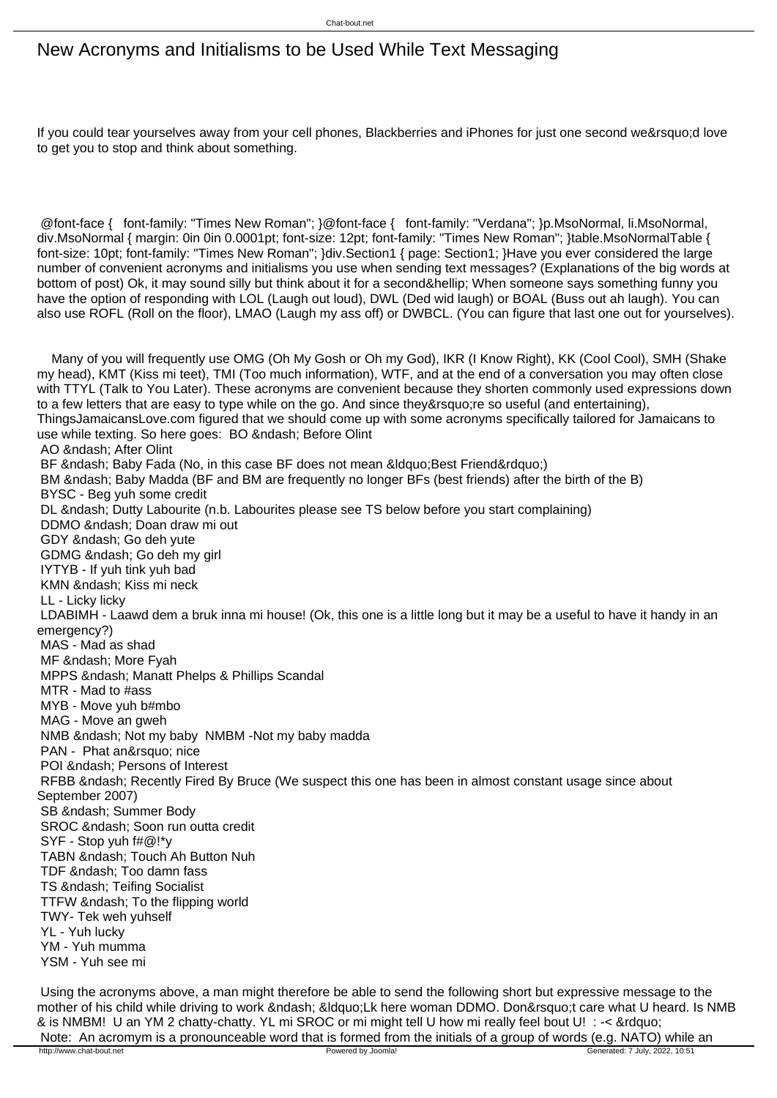## New Acronyms and Initialisms to be Used While Text Messaging

If you could tear yourselves away from your cell phones. Blackberries and iPhones for just one second we&rsquo:d love to get you to stop and think about something.

 @font-face { font-family: "Times New Roman"; }@font-face { font-family: "Verdana"; }p.MsoNormal, li.MsoNormal, div.MsoNormal { margin: 0in 0in 0.0001pt; font-size: 12pt; font-family: "Times New Roman"; }table.MsoNormalTable { font-size: 10pt; font-family: "Times New Roman"; }div.Section1 { page: Section1; }Have you ever considered the large number of convenient acronyms and initialisms you use when sending text messages? (Explanations of the big words at bottom of post) Ok, it may sound silly but think about it for a second… When someone says something funny you have the option of responding with LOL (Laugh out loud), DWL (Ded wid laugh) or BOAL (Buss out ah laugh). You can also use ROFL (Roll on the floor), LMAO (Laugh my ass off) or DWBCL. (You can figure that last one out for yourselves).

 Many of you will frequently use OMG (Oh My Gosh or Oh my God), IKR (I Know Right), KK (Cool Cool), SMH (Shake my head), KMT (Kiss mi teet), TMI (Too much information), WTF, and at the end of a conversation you may often close with TTYL (Talk to You Later). These acronyms are convenient because they shorten commonly used expressions down to a few letters that are easy to type while on the go. And since they're so useful (and entertaining), ThingsJamaicansLove.com figured that we should come up with some acronyms specifically tailored for Jamaicans to use while texting. So here goes: BO – Before Olint AO – After Olint BF – Baby Fada (No, in this case BF does not mean " Best Friend ") BM & ndash; Baby Madda (BF and BM are frequently no longer BFs (best friends) after the birth of the B) BYSC - Beg yuh some credit DL – Dutty Labourite (n.b. Labourites please see TS below before you start complaining) DDMO & ndash: Doan draw mi out GDY – Go deh yute GDMG – Go deh my girl IYTYB - If yuh tink yuh bad KMN – Kiss mi neck LL - Licky licky LDABIMH - Laawd dem a bruk inna mi house! (Ok, this one is a little long but it may be a useful to have it handy in an emergency?) MAS - Mad as shad MF – More Fyah MPPS & ndash; Manatt Phelps & Phillips Scandal MTR - Mad to #ass MYB - Move yuh b#mbo MAG - Move an gweh NMB & ndash: Not my baby NMBM -Not my baby madda PAN - Phat an&rsquo: nice POI & ndash: Persons of Interest RFBB – Recently Fired By Bruce (We suspect this one has been in almost constant usage since about September 2007) SB & ndash: Summer Body SROC – Soon run outta credit SYF - Stop yuh f#@!\*y TABN – Touch Ah Button Nuh TDF & ndash; Too damn fass TS & ndash; Teifing Socialist TTFW & ndash; To the flipping world TWY- Tek weh yuhself YL - Yuh lucky YM - Yuh mumma YSM - Yuh see mi

 Using the acronyms above, a man might therefore be able to send the following short but expressive message to the mother of his child while driving to work – "Lk here woman DDMO. Don't care what U heard. Is NMB & is NMBM! U an YM 2 chatty-chatty. YL mi SROC or mi might tell U how mi really feel bout U! : -< &rdquo; Note: An acromym is a pronounceable word that is formed from the initials of a group of words (e.g. NATO) while an<br>http://www.chat-bout.net Generated: 7 July, 2022, 10:51